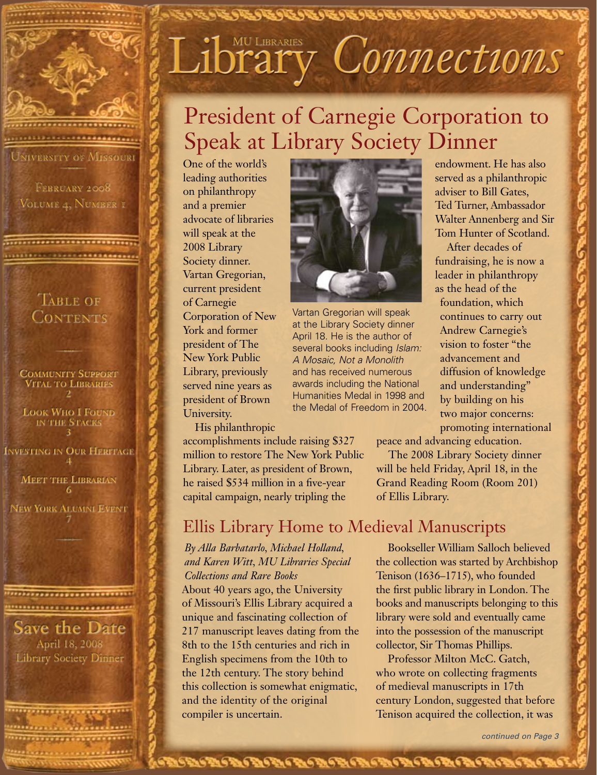

FEBRUARY 2008 Volume 4, Number 1

......................... ,,,,,,,,,,,,,,,,,,,,,,,,,,,,,,

#### TABLE OF **CONTENTS**

ran 1

**Community Support Vital to Libraries 2**

**Look Who I Found in the Stacks 3**

**Investing in Our Heritage 4 Meet the Librarian 6**

**New York Alumni Event 7** r

\*\*\*\*\*\*\*\*\*\*\*\*\*\*\*\*\*\*\*\*\*\*\*\*\*\*\*\* ,,,,,,,,,,,,,,,,,,,,,,,,,,

#### **Save the Date** April 18, 2008 Library Society Dinner

\*\*\*\*\*\*\*\*\*\*\*\*\*\*\*\*\*\*\*\*\*\*\*\*\*\* ,,,,,,,,,,,,,,,,,,,,,,,,, ,,,,,,,,,,,,,,,,,,,,,,,, <u>11999 (11991 - 11991 - 11991 - 1099)</u>

## Libraries Connections

ほうきんかんかいかいかいかいかいかいかいかい

## President of Carnegie Corporation to Speak at Library Society Dinner

One of the world's leading authorities on philanthropy and a premier advocate of libraries will speak at the 2008 Library Society dinner. Vartan Gregorian, current president of Carnegie Corporation of New York and former president of The New York Public Library, previously served nine years as president of Brown University.

His philanthropic



Vartan Gregorian will speak at the Library Society dinner April 18. He is the author of several books including *Islam: A Mosaic, Not a Monolith*  and has received numerous awards including the National Humanities Medal in 1998 and the Medal of Freedom in 2004.

endowment. He has also served as a philanthropic adviser to Bill Gates, Ted Turner, Ambassador Walter Annenberg and Sir Tom Hunter of Scotland.

After decades of fundraising, he is now a leader in philanthropy as the head of the

foundation, which continues to carry out Andrew Carnegie's vision to foster "the advancement and diffusion of knowledge and understanding" by building on his two major concerns: promoting international

peace and advancing education.

The 2008 Library Society dinner will be held Friday, April 18, in the Grand Reading Room (Room 201) of Ellis Library.

accomplishments include raising \$327 million to restore The New York Public Library. Later, as president of Brown, he raised \$534 million in a five-year capital campaign, nearly tripling the

## Ellis Library Home to Medieval Manuscripts

あいさいかいかいかいかいかいかいかいかいかいかいかいかいかい

#### *By Alla Barbatarlo, Michael Holland, and Karen Witt, MU Libraries Special Collections and Rare Books*

About 40 years ago, the University of Missouri's Ellis Library acquired a unique and fascinating collection of 217 manuscript leaves dating from the 8th to the 15th centuries and rich in English specimens from the 10th to the 12th century. The story behind this collection is somewhat enigmatic, and the identity of the original compiler is uncertain.

Bookseller William Salloch believed the collection was started by Archbishop Tenison (1636–1715), who founded the first public library in London. The books and manuscripts belonging to this library were sold and eventually came into the possession of the manuscript collector, Sir Thomas Phillips.

Professor Milton McC. Gatch, who wrote on collecting fragments of medieval manuscripts in 17th century London, suggested that before Tenison acquired the collection, it was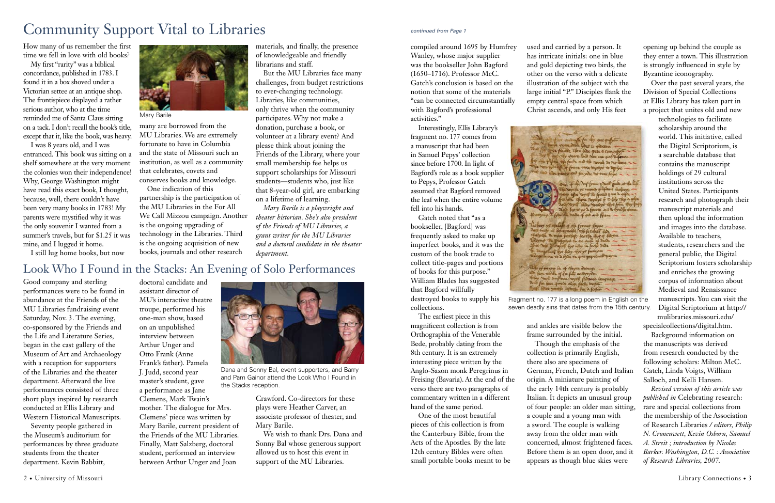### Look Who I Found in the Stacks: An Evening of Solo Performances

How many of us remember the first time we fell in love with old books?

My first "rarity" was a biblical concordance, published in 1783. I found it in a box shoved under a Victorian settee at an antique shop. The frontispiece displayed a rather serious author, who at the time reminded me of Santa Claus sitting on a tack. I don't recall the book's title, except that it, like the book, was heavy.

I was 8 years old, and I was entranced. This book was sitting on a shelf somewhere at the very moment the colonies won their independence! that celebrates, covets and Why, George Washington might have read this exact book, I thought, because, well, there couldn't have been very many books in 1783! My parents were mystified why it was the only souvenir I wanted from a summer's travels, but for \$1.25 it was mine, and I lugged it home.

I still lug home books, but now

many are borrowed from the MU Libraries. We are extremely fortunate to have in Columbia and the state of Missouri such an institution, as well as a community conserves books and knowledge.

One indication of this partnership is the participation of the MU Libraries in the For All We Call Mizzou campaign. Another is the ongoing upgrading of technology in the Libraries. Third is the ongoing acquisition of new books, journals and other research

materials, and finally, the presence of knowledgeable and friendly librarians and staff.

But the MU Libraries face many challenges, from budget restrictions to ever-changing technology. Libraries, like communities, only thrive when the community participates. Why not make a donation, purchase a book, or volunteer at a library event? And please think about joining the Friends of the Library, where your small membership fee helps us support scholarships for Missouri students—students who, just like that 8-year-old girl, are embarking on a lifetime of learning.

*Mary Barile is a playwright and theater historian. She's also president of the Friends of MU Libraries, a grant writer for the MU Libraries and a doctoral candidate in the theater department.* 

Good company and sterling performances were to be found in abundance at the Friends of the MU Libraries fundraising event Saturday, Nov. 3. The evening, co-sponsored by the Friends and the Life and Literature Series, began in the cast gallery of the Museum of Art and Archaeology with a reception for supporters of the Libraries and the theater department. Afterward the live performances consisted of three short plays inspired by research conducted at Ellis Library and Western Historical Manuscripts.

Seventy people gathered in the Museum's auditorium for performances by three graduate students from the theater department. Kevin Babbitt,

doctoral candidate and assistant director of MU's interactive theatre troupe, performed his one-man show, based on an unpublished interview between Arthur Unger and Otto Frank (Anne Frank's father). Pamela J. Judd, second year master's student, gave a performance as Jane Clemens, Mark Twain's mother. The dialogue for Mrs. Clemens' piece was written by Mary Barile, current president of the Friends of the MU Libraries. Finally, Matt Salzberg, doctoral student, performed an interview between Arthur Unger and Joan

Crawford. Co-directors for these plays were Heather Carver, an associate professor of theater, and Mary Barile.

We wish to thank Drs. Dana and Sonny Bal whose generous support allowed us to host this event in support of the MU Libraries.

compiled around 1695 by Humfrey Wanley, whose major supplier was the bookseller John Bagford (1650–1716). Professor McC. Gatch's conclusion is based on the notion that some of the materials "can be connected circumstantially with Bagford's professional activities."

Interestingly, Ellis Library's fragment no. 177 comes from a manuscript that had been in Samuel Pepys' collection since before 1700. In light of Bagford's role as a book supplier to Pepys, Professor Gatch assumed that Bagford removed the leaf when the entire volume fell into his hands.

Gatch noted that "as a bookseller, [Bagford] was frequently asked to make up imperfect books, and it was the custom of the book trade to collect title-pages and portions of books for this purpose." William Blades has suggested that Bagford willfully destroyed books to supply his collections.

The earliest piece in this magnificent collection is from Orthographia of the Venerable Bede, probably dating from the 8th century. It is an extremely interesting piece written by the Anglo-Saxon monk Peregrinus in Freising (Bavaria). At the end of the verso there are two paragraphs of commentary written in a different hand of the same period.

One of the most beautiful pieces of this collection is from the Canterbury Bible, from the Acts of the Apostles. By the late 12th century Bibles were often small portable books meant to be used and carried by a person. It has intricate initials: one in blue and gold depicting two birds, the other on the verso with a delicate illustration of the subject with the large initial "P." Disciples flank the empty central space from which Christ ascends, and only His feet



and ankles are visible below the frame surrounded by the initial. Though the emphasis of the collection is primarily English, there also are specimens of German, French, Dutch and Italian origin. A miniature painting of the early 14th century is probably Italian. It depicts an unusual group of four people: an older man sitting, a couple and a young man with a sword. The couple is walking away from the older man with concerned, almost frightened faces. Before them is an open door, and it appears as though blue skies were

opening up behind the couple as they enter a town. This illustration is strongly influenced in style by Byzantine iconography.

Over the past several years, the Division of Special Collections at Ellis Library has taken part in a project that unites old and new

> technologies to facilitate scholarship around the world. This initiative, called the Digital Scriptorium, is a searchable database that contains the manuscript holdings of 29 cultural institutions across the United States. Participants research and photograph their manuscript materials and then upload the information and images into the database. Available to teachers, students, researchers and the general public, the Digital Scriptorium fosters scholarship and enriches the growing corpus of information about Medieval and Renaissance manuscripts. You can visit the Digital Scriptorium at http:// mulibraries.missouri.edu/

specialcollections/digital.htm.

Background information on the manuscripts was derived from research conducted by the following scholars: Milton McC. Gatch, Linda Voigts, William Salloch, and Kelli Hansen.

*Revised version of this article was published in* Celebrating research: rare and special collections from the membership of the Association of Research Libraries */ editors, Philip N. Cronenwett, Kevin Osborn, Samuel A. Streit ; introduction by Nicolas Barker. Washington, D.C. : Association of Research Libraries, 2007.*



Dana and Sonny Bal, event supporters, and Barry and Pam Gainor attend the Look Who I Found in the Stacks reception.



Mary Barile

## Community Support Vital to Libraries

Fragment no. 177 is a long poem in English on the seven deadly sins that dates from the 15th century.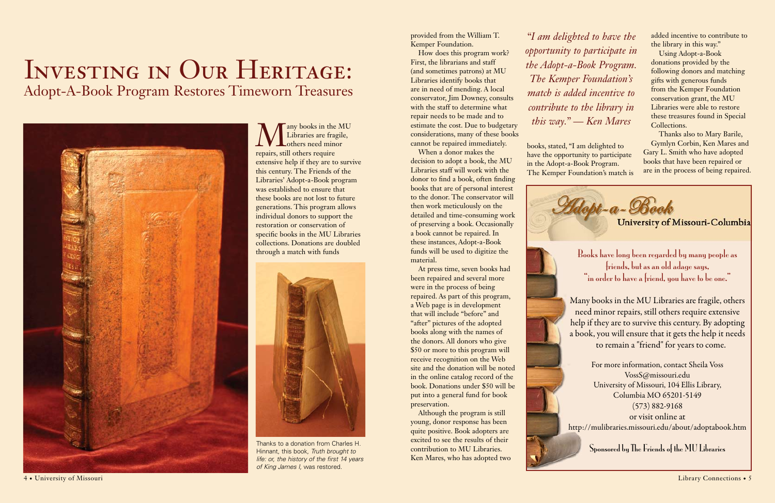Many books in the MU<br>Libraries are fragile,<br>repairs, still others require Libraries are fragile, others need minor repairs, still others require extensive help if they are to survive this century. The Friends of the Libraries' Adopt-a-Book program was established to ensure that these books are not lost to future generations. This program allows individual donors to support the restoration or conservation of specific books in the MU Libraries collections. Donations are doubled through a match with funds

## INVESTING IN OUR HERITAGE: Adopt-A-Book Program Restores Timeworn Treasures



provided from the William T. Kemper Foundation.

How does this program work? First, the librarians and staff (and sometimes patrons) at MU Libraries identify books that are in need of mending. A local conservator, Jim Downey, consults with the staff to determine what repair needs to be made and to estimate the cost. Due to budgetary considerations, many of these books cannot be repaired immediately.

When a donor makes the decision to adopt a book, the MU Libraries staff will work with the donor to find a book, often finding books that are of personal interest to the donor. The conservator will then work meticulously on the detailed and time-consuming work of preserving a book. Occasionally a book cannot be repaired. In these instances, Adopt-a-Book funds will be used to digitize the material.

Books have long been regarded by many people as friends, but as an old adage says, "in order to have a friend, you have to be one."

At press time, seven books had been repaired and several more were in the process of being repaired. As part of this program, a Web page is in development that will include "before" and "after" pictures of the adopted books along with the names of the donors. All donors who give \$50 or more to this program will receive recognition on the Web site and the donation will be noted in the online catalog record of the book. Donations under \$50 will be put into a general fund for book preservation.

Although the program is still young, donor response has been quite positive. Book adopters are excited to see the results of their contribution to MU Libraries. Ken Mares, who has adopted two books, stated, "I am delighted to have the opportunity to participate in the Adopt-a-Book Program. The Kemper Foundation's match is



added incentive to contribute to the library in this way."

Using Adopt-a-Book donations provided by the following donors and matching gifts with generous funds from the Kemper Foundation conservation grant, the MU Libraries were able to restore these treasures found in Special Collections.

Thanks also to Mary Barile, Gymlyn Corbin, Ken Mares and Gary L. Smith who have adopted books that have been repaired or are in the process of being repaired.



Many books in the MU Libraries are fragile, others need minor repairs, still others require extensive help if they are to survive this century. By adopting a book, you will ensure that it gets the help it needs to remain a "friend" for years to come.

For more information, contact Sheila Voss VossS@missouri.edu University of Missouri, 104 Ellis Library, Columbia MO 65201-5149 (573) 882-9168 or visit online at http://mulibraries.missouri.edu/about/adoptabook.htm

Sponsored by The Friends of the MU Libraries

*"I am delighted to have the opportunity to participate in the Adopt-a-Book Program. The Kemper Foundation's match is added incentive to contribute to the library in this way." — Ken Mares*



Thanks to a donation from Charles H. Hinnant, this book, *Truth brought to life: or, the history of the first 14 years of King James I,* was restored.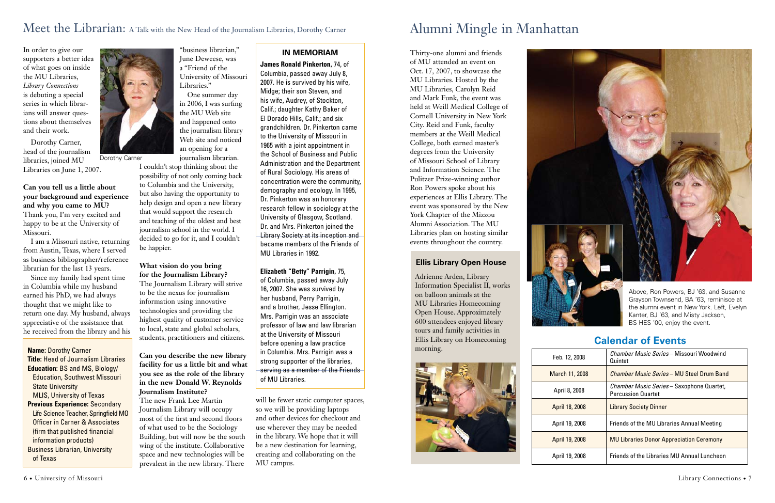

### Meet the Librarian: A Talk with the New Head of the Journalism Libraries, Dorothy Carner

In order to give our supporters a better idea of what goes on inside the MU Libraries, *Library Connections* is debuting a special series in which librarians will answer questions about themselves and their work.

Dorothy Carner, head of the journalism libraries, joined MU Libraries on June 1, 2007.

**Can you tell us a little about your background and experience and why you came to MU?** Thank you, I'm very excited and happy to be at the University of Missouri.

I am a Missouri native, returning from Austin, Texas, where I served as business bibliographer/reference librarian for the last 13 years.

Since my family had spent time in Columbia while my husband earned his PhD, we had always thought that we might like to return one day. My husband, always appreciative of the assistance that he received from the library and his

"business librarian," June Deweese, was a "Friend of the University of Missouri

Libraries." One summer day in 2006, I was surfing

the MU Web site and happened onto the journalism library Web site and noticed an opening for a journalism librarian.

I couldn't stop thinking about the possibility of not only coming back to Columbia and the University, but also having the opportunity to help design and open a new library that would support the research and teaching of the oldest and best journalism school in the world. I decided to go for it, and I couldn't be happier.

#### **What vision do you bring for the Journalism Library?**

The Journalism Library will strive to be the nexus for journalism information using innovative technologies and providing the highest quality of customer service to local, state and global scholars, students, practitioners and citizens.

**Can you describe the new library facility for us a little bit and what you see as the role of the library in the new Donald W. Reynolds Journalism Institute?**

The new Frank Lee Martin Journalism Library will occupy most of the first and second floors of what used to be the Sociology Building, but will now be the south wing of the institute. Collaborative space and new technologies will be prevalent in the new library. There

will be fewer static computer spaces, so we will be providing laptops and other devices for checkout and use wherever they may be needed in the library. We hope that it will be a new destination for learning, creating and collaborating on the MU campus.

## Alumni Mingle in Manhattan

#### **Ellis Library Open House**

Adrienne Arden, Library Information Specialist II, works on balloon animals at the MU Libraries Homecoming Open House. Approximately 600 attendees enjoyed library tours and family activities in Ellis Library on Homecoming morning.



Above, Ron Powers, BJ '63, and Susanne Grayson Townsend, BA '63, reminisce at the alumni event in New York. Left, Evelyn Kanter, BJ '63, and Misty Jackson, BS HES '00, enjoy the event.

#### **IN MEMORIAM**

**James Ronald Pinkerton,** 74, of

Columbia, passed away July 8, 2007. He is survived by his wife, Midge; their son Steven, and his wife, Audrey, of Stockton, Calif.; daughter Kathy Baker of El Dorado Hills, Calif.; and six grandchildren. Dr. Pinkerton came to the University of Missouri in 1965 with a joint appointment in the School of Business and Public Administration and the Department of Rural Sociology. His areas of concentration were the community, demography and ecology. In 1995, Dr. Pinkerton was an honorary research fellow in sociology at the University of Glasgow, Scotland. Dr. and Mrs. Pinkerton joined the Library Society at its inception and became members of the Friends of MU Libraries in 1992.

#### **Elizabeth "Betty" Parrigin,** 75,

of Columbia, passed away July 16, 2007. She was survived by her husband, Perry Parrigin, and a brother, Jesse Ellington. Mrs. Parrigin was an associate professor of law and law librarian at the University of Missouri before opening a law practice in Columbia. Mrs. Parrigin was a strong supporter of the libraries, serving as a member of the Friends of MU Libraries.

**Name:** Dorothy Carner **Title:** Head of Journalism Libraries **Education:** BS and MS, Biology/ Education, Southwest Missouri **State University**  MLIS, University of Texas **Previous Experience:** Secondary Life Science Teacher, Springfield MO Officer in Carner & Associates (firm that published financial information products) Business Librarian, University of Texas

Dorothy Carner

Thirty-one alumni and friends of MU attended an event on Oct. 17, 2007, to showcase the MU Libraries. Hosted by the MU Libraries, Carolyn Reid and Mark Funk, the event was held at Weill Medical College of Cornell University in New York City. Reid and Funk, faculty members at the Weill Medical College, both earned master's degrees from the University of Missouri School of Library and Information Science. The Pulitzer Prize-winning author Ron Powers spoke about his experiences at Ellis Library. The event was sponsored by the New York Chapter of the Mizzou Alumni Association. The MU Libraries plan on hosting similar events throughout the country.

| Feb. 12, 2008  | <i>Chamber Music Series</i> – Missouri Woodwind<br>Quintet                    |
|----------------|-------------------------------------------------------------------------------|
| March 11, 2008 | <i>Chamber Music Series</i> – MU Steel Drum Band                              |
| April 8, 2008  | <i>Chamber Music Series</i> - Saxophone Quartet,<br><b>Percussion Quartet</b> |
| April 18, 2008 | <b>Library Society Dinner</b>                                                 |
| April 19, 2008 | Friends of the MU Libraries Annual Meeting                                    |
| April 19, 2008 | <b>MU Libraries Donor Appreciation Ceremony</b>                               |
| April 19, 2008 | Friends of the Libraries MU Annual Luncheon                                   |



#### **Calendar of Events**